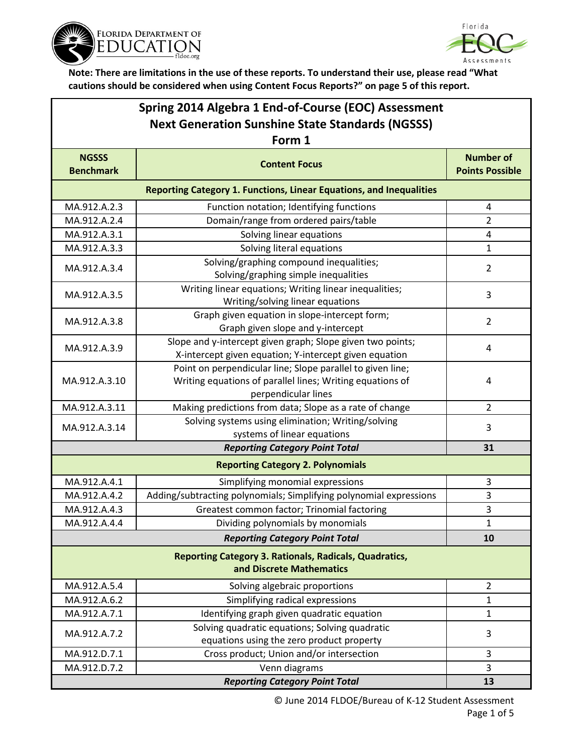



**Note: There are limitations in the use of these reports. To understand their use, please read "What cautions should be considered when using Content Focus Reports?" on page 5 of this report.**

| Spring 2014 Algebra 1 End-of-Course (EOC) Assessment    |
|---------------------------------------------------------|
| <b>Next Generation Sunshine State Standards (NGSSS)</b> |
| Form 1                                                  |

| Form 1                                                                                    |                                                                                                                                                |                                            |  |  |
|-------------------------------------------------------------------------------------------|------------------------------------------------------------------------------------------------------------------------------------------------|--------------------------------------------|--|--|
| <b>NGSSS</b><br><b>Benchmark</b>                                                          | <b>Content Focus</b>                                                                                                                           | <b>Number of</b><br><b>Points Possible</b> |  |  |
| Reporting Category 1. Functions, Linear Equations, and Inequalities                       |                                                                                                                                                |                                            |  |  |
| MA.912.A.2.3                                                                              | Function notation; Identifying functions                                                                                                       | 4                                          |  |  |
| MA.912.A.2.4                                                                              | Domain/range from ordered pairs/table                                                                                                          | $\overline{2}$                             |  |  |
| MA.912.A.3.1                                                                              | Solving linear equations                                                                                                                       | $\overline{4}$                             |  |  |
| MA.912.A.3.3                                                                              | Solving literal equations                                                                                                                      | 1                                          |  |  |
| MA.912.A.3.4                                                                              | Solving/graphing compound inequalities;<br>Solving/graphing simple inequalities                                                                | $\overline{2}$                             |  |  |
| MA.912.A.3.5                                                                              | Writing linear equations; Writing linear inequalities;<br>Writing/solving linear equations                                                     | 3                                          |  |  |
| MA.912.A.3.8                                                                              | Graph given equation in slope-intercept form;<br>Graph given slope and y-intercept                                                             | $\overline{2}$                             |  |  |
| MA.912.A.3.9                                                                              | Slope and y-intercept given graph; Slope given two points;<br>X-intercept given equation; Y-intercept given equation                           | 4                                          |  |  |
| MA.912.A.3.10                                                                             | Point on perpendicular line; Slope parallel to given line;<br>Writing equations of parallel lines; Writing equations of<br>perpendicular lines | 4                                          |  |  |
| MA.912.A.3.11                                                                             | Making predictions from data; Slope as a rate of change                                                                                        | $\overline{2}$                             |  |  |
| MA.912.A.3.14                                                                             | Solving systems using elimination; Writing/solving<br>systems of linear equations                                                              | 3                                          |  |  |
|                                                                                           | <b>Reporting Category Point Total</b>                                                                                                          | 31                                         |  |  |
|                                                                                           | <b>Reporting Category 2. Polynomials</b>                                                                                                       |                                            |  |  |
| MA.912.A.4.1                                                                              | Simplifying monomial expressions                                                                                                               | 3                                          |  |  |
| MA.912.A.4.2                                                                              | Adding/subtracting polynomials; Simplifying polynomial expressions                                                                             | 3                                          |  |  |
| MA.912.A.4.3                                                                              | Greatest common factor; Trinomial factoring                                                                                                    | 3                                          |  |  |
| MA.912.A.4.4                                                                              | Dividing polynomials by monomials                                                                                                              | $\mathbf 1$                                |  |  |
|                                                                                           | <b>Reporting Category Point Total</b>                                                                                                          | 10                                         |  |  |
| <b>Reporting Category 3. Rationals, Radicals, Quadratics,</b><br>and Discrete Mathematics |                                                                                                                                                |                                            |  |  |
| MA.912.A.5.4                                                                              | Solving algebraic proportions                                                                                                                  | $\overline{2}$                             |  |  |
| MA.912.A.6.2                                                                              | Simplifying radical expressions                                                                                                                | 1                                          |  |  |
| MA.912.A.7.1                                                                              | Identifying graph given quadratic equation                                                                                                     | $\mathbf{1}$                               |  |  |
| MA.912.A.7.2                                                                              | Solving quadratic equations; Solving quadratic<br>equations using the zero product property                                                    | 3                                          |  |  |
| MA.912.D.7.1                                                                              | Cross product; Union and/or intersection                                                                                                       | 3                                          |  |  |
| MA.912.D.7.2                                                                              | Venn diagrams                                                                                                                                  | 3                                          |  |  |
|                                                                                           | 13                                                                                                                                             |                                            |  |  |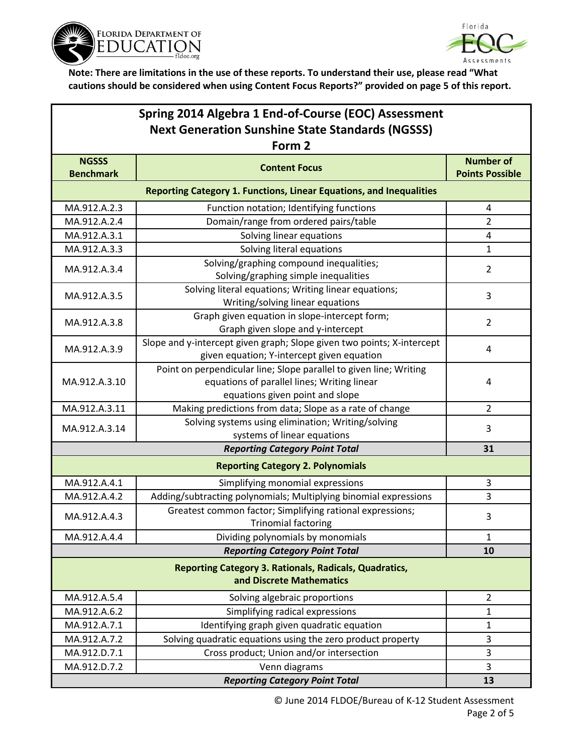



**Note: There are limitations in the use of these reports. To understand their use, please read "What cautions should be considered when using Content Focus Reports?" provided on page 5 of this report.**

| Spring 2014 Algebra 1 End-of-Course (EOC) Assessment                                      |                                                                                                                                                      |                                            |  |  |  |
|-------------------------------------------------------------------------------------------|------------------------------------------------------------------------------------------------------------------------------------------------------|--------------------------------------------|--|--|--|
| <b>Next Generation Sunshine State Standards (NGSSS)</b>                                   |                                                                                                                                                      |                                            |  |  |  |
| Form 2                                                                                    |                                                                                                                                                      |                                            |  |  |  |
| <b>NGSSS</b><br><b>Benchmark</b>                                                          | <b>Content Focus</b>                                                                                                                                 | <b>Number of</b><br><b>Points Possible</b> |  |  |  |
| Reporting Category 1. Functions, Linear Equations, and Inequalities                       |                                                                                                                                                      |                                            |  |  |  |
| MA.912.A.2.3                                                                              | Function notation; Identifying functions                                                                                                             | 4                                          |  |  |  |
| MA.912.A.2.4                                                                              | Domain/range from ordered pairs/table                                                                                                                | $\overline{2}$                             |  |  |  |
| MA.912.A.3.1                                                                              | Solving linear equations                                                                                                                             | 4                                          |  |  |  |
| MA.912.A.3.3                                                                              | Solving literal equations                                                                                                                            | $\mathbf{1}$                               |  |  |  |
| MA.912.A.3.4                                                                              | Solving/graphing compound inequalities;<br>Solving/graphing simple inequalities                                                                      | $\overline{2}$                             |  |  |  |
| MA.912.A.3.5                                                                              | Solving literal equations; Writing linear equations;<br>Writing/solving linear equations                                                             | 3                                          |  |  |  |
| MA.912.A.3.8                                                                              | Graph given equation in slope-intercept form;<br>Graph given slope and y-intercept                                                                   | $\overline{2}$                             |  |  |  |
| MA.912.A.3.9                                                                              | Slope and y-intercept given graph; Slope given two points; X-intercept<br>given equation; Y-intercept given equation                                 | 4                                          |  |  |  |
| MA.912.A.3.10                                                                             | Point on perpendicular line; Slope parallel to given line; Writing<br>equations of parallel lines; Writing linear<br>equations given point and slope | 4                                          |  |  |  |
| MA.912.A.3.11                                                                             | Making predictions from data; Slope as a rate of change                                                                                              | $\overline{2}$                             |  |  |  |
| MA.912.A.3.14                                                                             | Solving systems using elimination; Writing/solving<br>systems of linear equations                                                                    | 3                                          |  |  |  |
|                                                                                           | <b>Reporting Category Point Total</b>                                                                                                                | 31                                         |  |  |  |
|                                                                                           | <b>Reporting Category 2. Polynomials</b>                                                                                                             |                                            |  |  |  |
| MA.912.A.4.1                                                                              | Simplifying monomial expressions                                                                                                                     | 3                                          |  |  |  |
| MA.912.A.4.2                                                                              | Adding/subtracting polynomials; Multiplying binomial expressions                                                                                     | 3                                          |  |  |  |
| MA.912.A.4.3                                                                              | Greatest common factor; Simplifying rational expressions;<br><b>Trinomial factoring</b>                                                              | 3                                          |  |  |  |
| MA.912.A.4.4                                                                              | Dividing polynomials by monomials                                                                                                                    | 1                                          |  |  |  |
|                                                                                           | <b>Reporting Category Point Total</b>                                                                                                                | 10                                         |  |  |  |
| <b>Reporting Category 3. Rationals, Radicals, Quadratics,</b><br>and Discrete Mathematics |                                                                                                                                                      |                                            |  |  |  |
| MA.912.A.5.4                                                                              | Solving algebraic proportions                                                                                                                        | $\overline{2}$                             |  |  |  |
| MA.912.A.6.2                                                                              | Simplifying radical expressions                                                                                                                      | $\mathbf{1}$                               |  |  |  |
| MA.912.A.7.1                                                                              | Identifying graph given quadratic equation                                                                                                           | $\mathbf{1}$                               |  |  |  |
| MA.912.A.7.2                                                                              | Solving quadratic equations using the zero product property                                                                                          | 3                                          |  |  |  |
| MA.912.D.7.1                                                                              | Cross product; Union and/or intersection                                                                                                             | 3                                          |  |  |  |
| MA.912.D.7.2                                                                              | Venn diagrams<br><b>Reporting Category Point Total</b>                                                                                               | 3                                          |  |  |  |
|                                                                                           | 13                                                                                                                                                   |                                            |  |  |  |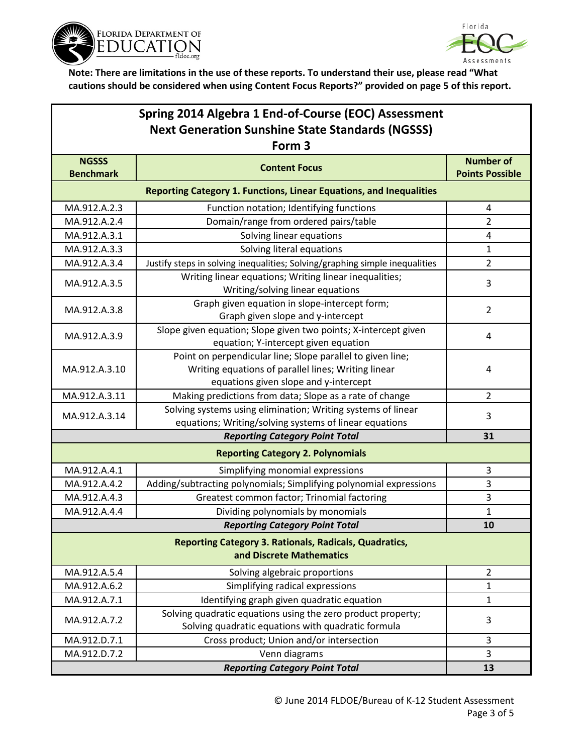



**Note: There are limitations in the use of these reports. To understand their use, please read "What cautions should be considered when using Content Focus Reports?" provided on page 5 of this report.**

| Spring 2014 Algebra 1 End-of-Course (EOC) Assessment                                      |                                                                                                                                                            |                                            |  |  |  |
|-------------------------------------------------------------------------------------------|------------------------------------------------------------------------------------------------------------------------------------------------------------|--------------------------------------------|--|--|--|
| <b>Next Generation Sunshine State Standards (NGSSS)</b>                                   |                                                                                                                                                            |                                            |  |  |  |
| Form <sub>3</sub>                                                                         |                                                                                                                                                            |                                            |  |  |  |
| <b>NGSSS</b><br><b>Benchmark</b>                                                          | <b>Content Focus</b>                                                                                                                                       | <b>Number of</b><br><b>Points Possible</b> |  |  |  |
|                                                                                           | <b>Reporting Category 1. Functions, Linear Equations, and Inequalities</b>                                                                                 |                                            |  |  |  |
| MA.912.A.2.3                                                                              | Function notation; Identifying functions                                                                                                                   | 4                                          |  |  |  |
| MA.912.A.2.4                                                                              | Domain/range from ordered pairs/table                                                                                                                      | $\overline{2}$                             |  |  |  |
| MA.912.A.3.1                                                                              | Solving linear equations                                                                                                                                   | 4                                          |  |  |  |
| MA.912.A.3.3                                                                              | Solving literal equations                                                                                                                                  | 1                                          |  |  |  |
| MA.912.A.3.4                                                                              | Justify steps in solving inequalities; Solving/graphing simple inequalities                                                                                | $\overline{2}$                             |  |  |  |
| MA.912.A.3.5                                                                              | Writing linear equations; Writing linear inequalities;<br>Writing/solving linear equations                                                                 | 3                                          |  |  |  |
| MA.912.A.3.8                                                                              | Graph given equation in slope-intercept form;<br>Graph given slope and y-intercept                                                                         | $\overline{2}$                             |  |  |  |
| MA.912.A.3.9                                                                              | Slope given equation; Slope given two points; X-intercept given<br>equation; Y-intercept given equation                                                    | 4                                          |  |  |  |
| MA.912.A.3.10                                                                             | Point on perpendicular line; Slope parallel to given line;<br>Writing equations of parallel lines; Writing linear<br>equations given slope and y-intercept | 4                                          |  |  |  |
| MA.912.A.3.11                                                                             | Making predictions from data; Slope as a rate of change                                                                                                    | $\overline{2}$                             |  |  |  |
| MA.912.A.3.14                                                                             | Solving systems using elimination; Writing systems of linear<br>equations; Writing/solving systems of linear equations                                     | 3                                          |  |  |  |
|                                                                                           | <b>Reporting Category Point Total</b>                                                                                                                      | 31                                         |  |  |  |
|                                                                                           | <b>Reporting Category 2. Polynomials</b>                                                                                                                   |                                            |  |  |  |
| MA.912.A.4.1                                                                              | Simplifying monomial expressions                                                                                                                           | 3                                          |  |  |  |
| MA.912.A.4.2                                                                              | Adding/subtracting polynomials; Simplifying polynomial expressions                                                                                         | 3                                          |  |  |  |
| MA.912.A.4.3                                                                              | Greatest common factor; Trinomial factoring                                                                                                                | 3                                          |  |  |  |
| MA.912.A.4.4                                                                              | Dividing polynomials by monomials                                                                                                                          | $\mathbf{1}$                               |  |  |  |
|                                                                                           | <b>Reporting Category Point Total</b>                                                                                                                      | 10                                         |  |  |  |
| <b>Reporting Category 3. Rationals, Radicals, Quadratics,</b><br>and Discrete Mathematics |                                                                                                                                                            |                                            |  |  |  |
| MA.912.A.5.4                                                                              | Solving algebraic proportions                                                                                                                              | $\overline{2}$                             |  |  |  |
| MA.912.A.6.2                                                                              | Simplifying radical expressions                                                                                                                            | $\mathbf{1}$                               |  |  |  |
| MA.912.A.7.1                                                                              | Identifying graph given quadratic equation                                                                                                                 | $\mathbf{1}$                               |  |  |  |
| MA.912.A.7.2                                                                              | Solving quadratic equations using the zero product property;<br>Solving quadratic equations with quadratic formula                                         | 3                                          |  |  |  |
| MA.912.D.7.1                                                                              | Cross product; Union and/or intersection                                                                                                                   | 3                                          |  |  |  |
| MA.912.D.7.2                                                                              | Venn diagrams                                                                                                                                              | 3                                          |  |  |  |
|                                                                                           | <b>Reporting Category Point Total</b>                                                                                                                      | 13                                         |  |  |  |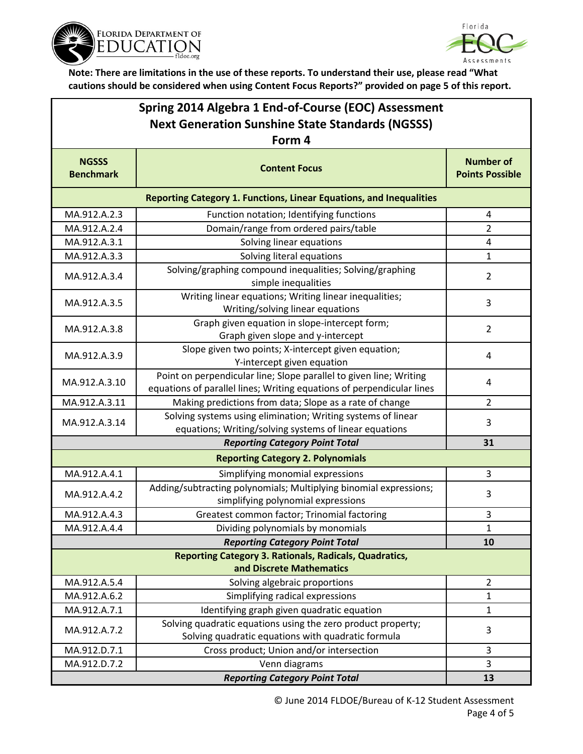



**Note: There are limitations in the use of these reports. To understand their use, please read "What cautions should be considered when using Content Focus Reports?" provided on page 5 of this report.**

| Spring 2014 Algebra 1 End-of-Course (EOC) Assessment    |
|---------------------------------------------------------|
| <b>Next Generation Sunshine State Standards (NGSSS)</b> |
| $\Gamma$ $\sim$ $\sim$ $\sim$ $\Lambda$                 |

| Form 4                                                                                    |                                                                                                                                             |                                            |  |  |
|-------------------------------------------------------------------------------------------|---------------------------------------------------------------------------------------------------------------------------------------------|--------------------------------------------|--|--|
| <b>NGSSS</b><br><b>Benchmark</b>                                                          | <b>Content Focus</b>                                                                                                                        | <b>Number of</b><br><b>Points Possible</b> |  |  |
| <b>Reporting Category 1. Functions, Linear Equations, and Inequalities</b>                |                                                                                                                                             |                                            |  |  |
| MA.912.A.2.3                                                                              | Function notation; Identifying functions                                                                                                    | 4                                          |  |  |
| MA.912.A.2.4                                                                              | Domain/range from ordered pairs/table                                                                                                       | $\overline{2}$                             |  |  |
| MA.912.A.3.1                                                                              | Solving linear equations                                                                                                                    | 4                                          |  |  |
| MA.912.A.3.3                                                                              | Solving literal equations                                                                                                                   | $\mathbf{1}$                               |  |  |
| MA.912.A.3.4                                                                              | Solving/graphing compound inequalities; Solving/graphing<br>simple inequalities                                                             | $\overline{2}$                             |  |  |
| MA.912.A.3.5                                                                              | Writing linear equations; Writing linear inequalities;<br>Writing/solving linear equations                                                  | 3                                          |  |  |
| MA.912.A.3.8                                                                              | Graph given equation in slope-intercept form;<br>Graph given slope and y-intercept                                                          | $\overline{2}$                             |  |  |
| MA.912.A.3.9                                                                              | Slope given two points; X-intercept given equation;<br>Y-intercept given equation                                                           | 4                                          |  |  |
| MA.912.A.3.10                                                                             | Point on perpendicular line; Slope parallel to given line; Writing<br>equations of parallel lines; Writing equations of perpendicular lines | 4                                          |  |  |
| MA.912.A.3.11                                                                             | Making predictions from data; Slope as a rate of change                                                                                     | $\overline{2}$                             |  |  |
| MA.912.A.3.14                                                                             | Solving systems using elimination; Writing systems of linear<br>equations; Writing/solving systems of linear equations                      | 3                                          |  |  |
|                                                                                           | <b>Reporting Category Point Total</b>                                                                                                       | 31                                         |  |  |
|                                                                                           | <b>Reporting Category 2. Polynomials</b>                                                                                                    |                                            |  |  |
| MA.912.A.4.1                                                                              | Simplifying monomial expressions                                                                                                            | 3                                          |  |  |
| MA.912.A.4.2                                                                              | Adding/subtracting polynomials; Multiplying binomial expressions;<br>simplifying polynomial expressions                                     | 3                                          |  |  |
| MA.912.A.4.3                                                                              | Greatest common factor; Trinomial factoring                                                                                                 | 3                                          |  |  |
| MA.912.A.4.4                                                                              | Dividing polynomials by monomials                                                                                                           | 1                                          |  |  |
| <b>Reporting Category Point Total</b>                                                     |                                                                                                                                             | 10                                         |  |  |
| <b>Reporting Category 3. Rationals, Radicals, Quadratics,</b><br>and Discrete Mathematics |                                                                                                                                             |                                            |  |  |
| MA.912.A.5.4                                                                              | Solving algebraic proportions                                                                                                               | $\overline{2}$                             |  |  |
| MA.912.A.6.2                                                                              | Simplifying radical expressions                                                                                                             | 1                                          |  |  |
| MA.912.A.7.1                                                                              | Identifying graph given quadratic equation                                                                                                  | 1                                          |  |  |
| MA.912.A.7.2                                                                              | Solving quadratic equations using the zero product property;<br>Solving quadratic equations with quadratic formula                          | 3                                          |  |  |
| MA.912.D.7.1                                                                              | Cross product; Union and/or intersection                                                                                                    | $\overline{3}$                             |  |  |
| MA.912.D.7.2                                                                              | Venn diagrams                                                                                                                               | 3                                          |  |  |
|                                                                                           | 13                                                                                                                                          |                                            |  |  |